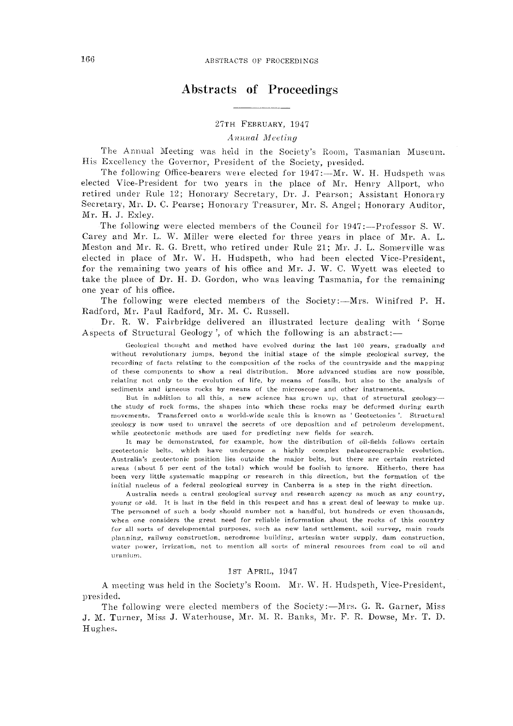# Abstracts of Proceedings

27TH FEBRUARY, 1947

 $A$ <sub>nnual</sub> *Meeting* 

The Annual Meeting was heid in the Society's Room, Tasmanian Museum. His Excellency the Governor, President of the Society, presided.

The following Office-bearers were elected for 1947 :--- Mr. W. H. Hudspeth was elected Vice-President for two years in the place of Mr. Henry Allport, who retired under Rule 12; Honorary Secretary, Dr. J. Pearson; Assistant Honorary Secretary, Mr. D. C. Pearse; Honorary Treasurer, Mr. S. Angel; Honorary Auditor, Mr. H. J. Exley.

The following were elected members of the Council for 1947 :-- Professor S. W. Carey and Mr. L. W. Miller were elected for three years in place of Mr. A. L. Meston and Mr. R. G. Brett, who retired under Rule 21; Mr. J. L. Somerville was elected in place of Mr. W. H. Hudspeth, who had been elected Vice-President, for the remaining two years of his office and Mr. J. W. C. Wyett was elected to take the place of Dr. H. D. Gordon, who was leaving Tasmania, for the remaining one year of his office.

The following were elected members of the Society:--Mrs. Winifred P. H. Radford, Mr. Paul Radford, Mr. M. C. Russell.

Dr. R. W. Fairbridge delivered an illustrated lecture dealing with 'Some Aspects of Structural Geology', of which the following is an abstract:-

Geological thought and method have evolved during the last 100 years, gradually and without revolutionary jumps, beyond the initial stage of the simple geological survey, the recording of facts relating to the composition of the rocks of the countryside and the mapping of these components to show a real distribution. More advanced studies are now possible. relating not only to the evolution of life, by means of fossils, but also to the analysis of sediments and igneous rocks by means of the microscope and other instruments.

But in addition to all this, a new science has grown up, that of structural geology-the study of roek forms, the shapes into which these rocks may be deformed during earth movements. Transferred onto a world-wide scale this is known as ' Geotectonics '. Structural geology is now used to unravel the secrets of ore deposition and of petroleum development, while geotectonic methods are used for predieting new fields for search.

It may be demonstrated, for example, how the distribution of oil-fields follows certain geoteetonie belts, which have undergone a highly complex palaeogeographic evolution. Australia's geotectonic position lies outside the major belts, but there are certain restricted areas (about 5 per cent of the total) which would be foolish to ignore. Hitherto, there has been very little systematic mapping or research in this direction, but the formation of the initial nucleus of a federal geological survey in Canberra is a step in the right direction.

Australia needs a central geological survey and research agency as: much as any country, young or old. It is last in the field in this respect and has a great deal of leeway to make up. The personnel of such a body should number not a handful, but hundreds or even thousands, when one considers the great need for reliable information about the rocks of this country for all sorts of developmental purposes, such as new land settlement, soil survey, main roads planning, railway construction, aerodrome building, artesian water supply, dam construction, water power, irrigation, not to mention all sorts of mineral resources from coal to oil and uranium.

#### 1ST APRIL, 1947

A meeting was held in the Society's Room. Mr. W. H. Hudspeth, Vice-President, presided.

The following were elected members of the Society :- Mrs. G. R. Garner, Miss J. M. Turner, Miss J. Waterhouse, Mr. M. R. Banks, Mr. F. R. Dowse, Mr. T. D. Hughes.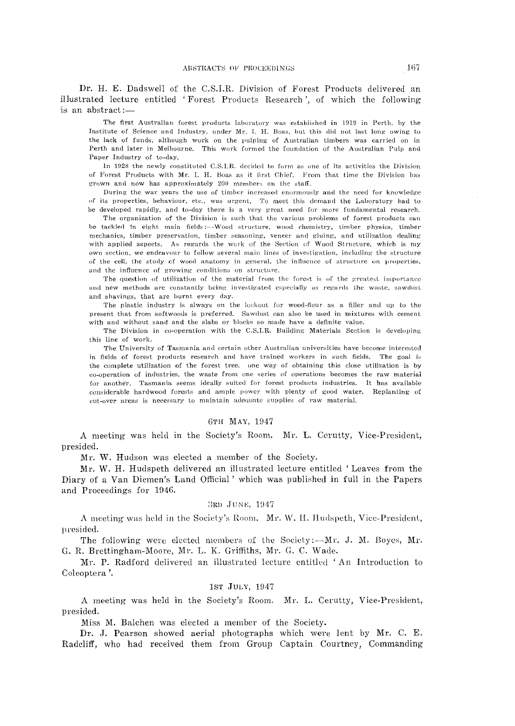Dr. H. E. Dadswell of the C.S.I.R. Division of Forest Products delivered an illustrated lecture entitled 'Forest Products Research', of which the following is an abstract:-

The first Australian forest products laboratory was established in 1919 in Perth, by the Institute of Science and Industry, under Mr. I. H. Boas, but this did not last long owing to the lack of funds, although work on the pulping of Australian timbers was carried on in Perth and later in Melbourne. This work formed the foundation of the Australian Pulp and Paper Industry of to-day.

In 1928 the newly constituted C.S.I.R. decided to form as one of its activities the Division of Forest Products with Mr. I. H. Boas as it first Chief. From that time the Division has grown and now has approximately 200 members on the staff.

During the war years the use of timber increased enormously and the need for knowledge of its properties, behaviour, etc., was urgent. To meet this demand the Laboratory had to be developed rapidly, and to-day there is a very great need for more fundamental research.

The organization of the Division is such that the various problems of forest products can be tackled in eight main fields:--Wood structure, wood chemistry, timber physics, timber mechanics, timber preservation, timber seasoning, veneer and gluing, and utilization dealing with applied aspects. As regards the work of the Section of Wood Structure, which is my own section, we endeavour to follow several main lines of investigation, including the structure of the cell, the study of wood anatomy in general, the influence of structure on properties. and the influence of growing conditions on structure.

The question of utilization of the material from the forest is of the greatest importance and new methods are constantly being investigated especially as regards the waste, sawdust and shavings, that are burnt every day.

The plastic industry is always on the lookout for wood-flour as a filler and up to the present that from softwoods is preferred. Sawdust can also be used in mixtures with cement with and without sand and the slabs or blocks so made have a definite value.

The Division in co-operation with the C.S.I.R. Building Materials Section is developing this line of work.

The University of Tasmania and certain other Australian universities have become interested in fields of forest products research and have trained workers in such fields. The goal is the complete utilization of the forest tree. one way of obtaining this close utilization is by co-operation of industries, the waste from one series of operations becomes the raw material for another. Tasmania seems ideally suited for forest products industries. It has available considerable hardwood forests and ample power with plenty of good water. Replanting of cut-over areas is necessary to maintain adequate supplies of raw material.

#### 6TH MAY, 1947

A meeting was held in the Society's Room. Mr. L. Cerutty, Vice-President, presided.

Mr. W. Hudson was elected a member of the Society.

Mr. W. H. Hudspeth delivered an illustrated lecture entitled 'Leaves from the Diary of a Van Diemen's Land Official' which was published in full in the Papers and Proceedings for 1946.

#### 3RD JUNE, 1947

A meeting was held in the Society's Room. Mr. W. H. Hudspeth, Vice-President, presided.

The following were elected members of the Society:--Mr. J. M. Boyes, Mr. G. R. Brettingham-Moore, Mr. L. K. Griffiths, Mr. G. C. Wade.

Mr. P. Radford delivered an illustrated lecture entitled 'An Introduction to Coleoptera'.

#### 1st JULY, 1947

A meeting was held in the Society's Room. Mr. L. Cerutty, Vice-President, presided.

Miss M. Balchen was elected a member of the Society.

Dr. J. Pearson showed aerial photographs which were lent by Mr. C. E. Radcliff, who had received them from Group Captain Courtney, Commanding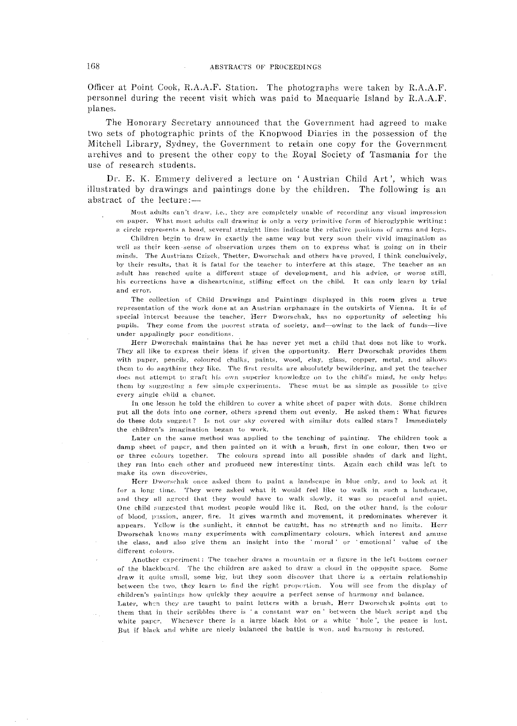Officer at Point Cook, R.A.A.F. Station. The photographs were taken by  $R.A.A.F.$ personnel during the recent visit which was paid to Maequarie Island by R.A.A.F. planes.

The Honorary Secretary announced that the Government had agreed to make two sets of photographic prints of the Knopwood Diaries in the possession of the Mitchell Library, Sydney, the Government to retain one copy for the Government archives and to present the other copy to the Royal Society of Tasmania for the use of research students.

Dr. E. K. Emmery delivered a lecture on 'Austrian Child Art', which was illustrated by drawings and paintings done by the children. The following is an abstract of the lecture:-

Most adults can't draw, i.e., they are completely unable of recording any visual impression on paper. What most adults call drawing is only a very primitive form of hieroglyphic writing: a circle represents a head, several straight lines indicate the relative positions of arms and legs.

Children begin to draw in exactly the same way but very soon their vivid imagination as well as their keen sense of observation urges them on to express what is going on in their minds. The Austrians Czizck, Thetter, Dworschak and others have proved, I think conclusively, by their results, that it is fatal for the teacher to interfere at this stage. The teacher as an adult has reached quite a different stage of development, and his advice, or worse still, his corrections have a disheartening, stifling effect on the child. It can only learn by trial and error.

The collection of Child Drawings and Paintings displayed in this room gives a true representation of the work done at an Austrian orphanage in the outskirts of Vienna. It is of special interest because the teacher, Herr Dworschak, has no opportunity of selecting his pupils. They come from the poorest strata of society, and—owing to the lack of funds—live under appalingly pocr eonditions.

Herr Dworschak maintains that he has never yet met a child that does not like to work. They all like to express their ideas if given the opportunity. Herr Dworschak provides them with paper, pencils, coloured chalks, paints, wood, clay, glass, copper, metal, and allows them to do anything they like. The first results are absolutely bewildering, and yet the teacher does not attempt to graft his own superior knowledge on to the child's mind, he only helps them by suggesting a few simple experiments. These must be as simple as possible to give every single child a chance.

In one lesson he told the children to cover a white sheet of paper with dots. Some children put all the dots into one corner, others spread them out evenly. He asked them: What figures do these dots suggest? Is not our sky covered with similar dots called stars? Immediately the children's imagination began to work.

Later on the same method was applied to the teaching of painting. The children took a damp sheet of paper, and then painted on it with a brush, first in one eolour, then two 'or or three colours together. The colours spread into all possible shades of dark and light, they ran into cach other and produced new interesting tints. Again each child was left to make its own discoveries.

Herr Dworschak once asked them to paint a landscape in blue only, and to look at it for a long time. They were asked what it would feel like to walk in such a landscape, and they all agreed that they would have to walk slowly, it was so peaceful and quiet. One child suggested that modest people would like it. Red, on the other hand, is the eolour of blood, passion, anger, fire. It gives warmth and movement, it predominates wherever it appears. Yellow is the sunlight, it cannot be caught, has no strength and no limits. Herr Dworschak knows many experiments with complimentary colours, which interest and amuse the class, and also give them an insight into the 'moral' or 'emotional' value of the different colours.

Another experiment: The teacher draws a mountain or a figure in the left bottom corner of the blackboard. The the children are asked to draw a cloud in the opposite space. Some draw it quite small, some big, but they soon discover that there is a certain relationship between the two, they learn to find the right proportion. You will see from the display of children's paintings how quickly they acquire a perfect sense of harmony and balance.

Later, when they are taught to paint letters with a brush, Herr Dworschak points out to them that in their scribbles there is 'a constant war on' between the black seript and the white paper. Whenever there is a large black blot or a white 'hole', the peace is lost. But if black and white are nicely balanced the battle is won, and harmony is restored.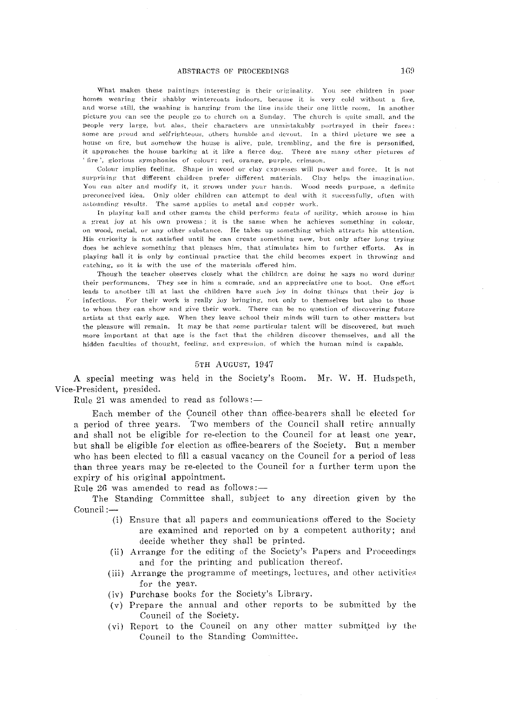#### ABSTRACTS OF PROCEEDINGS

What makes these paintings interesting is their originality. You see children in poor homes wearing their shabby wintercoats indoors, because it is very cold without a fire, and worse still, the washing is hanging from the line inside their one little room. In another picture you can see the people go to church on a Sunday. The church is quite small, and the people very large, but alas, their characters are unmistakably portrayed in their faces: some are proud and selfrighteous, others humble and devout. In a third picture we see a house on fire, but somehow the house is alive, pale, trembling, and the fire is personified, it approaches the house barking at it like a fierce dog. There are many other pictures of ' fire', glorious symphonies of colour; red, orange, purple, crimson,

Colour implies feeling. Shape in wood or clay expresses will power and force. It is not surprising that different children prefer different materials. Clay helps the imagination. You can alter and modify it, it grows under your hands. Wood needs purpose, a definite preconceived idea. Only older children can attempt to deal with it successfully, often with astounding results. The same applies to metal and copper work.

In playing ball and other games the child performs feats of agility, which arouse in him a great joy at his own prowess; it is the same when he achieves something in colour. on wood, metal, or any other substance. He takes up something which attracts his attention. His curiosity is not satisfied until he can create something new, but only after long trying does he achieve something that pleases him, that stimulates him to further efforts. As in playing ball it is only by continual practice that the child becomes expert in throwing and catching, so it is with the use of the materials offered him.

Though the teacher observes closely what the children are doing he says no word during their performances. They see in him a comrade, and an appreciative one to boot. One effort leads to another till at last the children have such joy in doing things that their joy is infectious. For their work is really joy bringing, not only to themselves but also to those to whom they can show and give tbeir work. There can be no question of discovering future artists at that early age. When they leave school their minds will turn to other matters but the pleasure will remain. It may be that some particular talent will be discovered, but much more important at that age is the fact that the children discover themselves, and all the hidden faculties of thought, feeling, and expression, of which the human mind is capable.

#### 5TH AUGUST, 1947

A special meeting was held in the Society's Room. Mr. W. H. Hudspeth, Vice-President, presided.

Rule 21 was amended to read as follows:-

Each member of the Council other than office-bearers shall be elected for a period of three years. Two members of the Council shall retire annually and shall not be eligible for re-election to the Council for at least one year, but shall be eligible for election as office-bearers of the Society. But a member who has been elected to fill a casual vacancy on the Council for a period of less than three years may be re-elected to the Council for a further term upon the expiry of his original appointment.

Rule 26 was amended to read as follows:-

The Standing Committee shall, subject to any direction given by the Council:-

- (i) Ensure that all papers and communications offered to the Society are examined and reported on by a competent authority; and decide whether they shall be printed.
- (ii) Arrange for the editing of the Society's Papers and Proceedings and for the printing and publication thereof.
- (iii) Arrange the programme of meetings, lectures, and other activities for the year.
- (iv) Purchase books for the Society's Library.
- (v) Prepare the annual and other reports to be submitted by the Council of the Society.
- (vi) Report to the Council on any other matter submitted by the Council to the Standing Committee.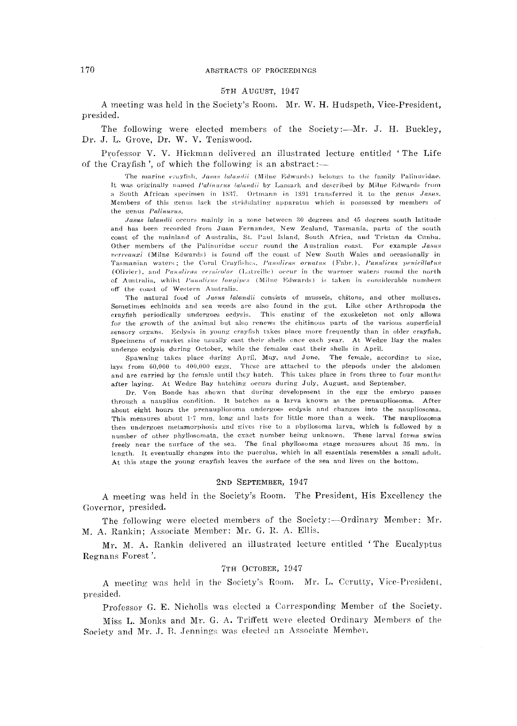#### 5TH AUGUST, 1947

A meeting was held in the Society's Room. Mr. W. H. Hudspeth, Vice-President, presided.

The following were elected members of the Society:--Mr. J. H. Buckley, Dr. J. L. Grove, Dr. W. V. Teniswood.

Professor V. V. Hickman delivered an illustrated lecture entitled 'The Life of the Cravfish', of which the following is an abstract:-

The marine cravfish, Jasus latandii (Milne Edwards) belongs to the family Palinuridae. It was originally named Palinurus lalandii by Lamark and described by Milne Edwards from a South African specimen in 1837. Ortmann in 1891 transferred it to the genus Jasus. Members of this genus lack the stridulating apparatus which is possessed by members of the genus Palinurus.

Jasus lalandii occurs mainly in a zone between 30 degrees and 45 degrees south latitude and has been recorded from Juan Fernandez, New Zealand, Tasmania, parts of the south coast of the mainland of Australia, St. Paul Island, South Africa, and Tristan da Cunha. Other members of the Palinuridae occur round the Australian coast. For example Jasus verreauxi (Milne Edwards) is found off the coast of New South Wales and occasionally in Tasmanian waters; the Coral Crayfishes, Panalirus ornatus (Fabr.), Panulirus peniculatus (Olivier), and Panulirus versicolor (Latreille) occur in the warmer waters round the north of Australia, whilst Panulirus longines (Milne Edwards) is taken in considerable numbers off the coast of Western Australia.

The natural food of Jasus lalandii consists of mussels, chitons, and other molluscs. Sometimes echinoids and sea weeds are also found in the gut. Like other Arthropoda the crayfish periodically undergoes ecdysis. This casting of the exoskeleton not only allows for the growth of the animal but also renews the chitinous parts of the various superficial sensory organs. Ecdysis in young crayfish takes place more frequently than in older crayfish. Specimens of market size usually cast their shells once each year. At Wedge Bay the males undergo ecdysis during October, while the females cast their shells in April.

Spawning takes place during April, May, and June. The female, according to size, lays from  $60,000$  to  $400,000$  eggs. These are attached to the plepods under the abdomen and are carried by the female until they batch. This takes place in from three to four months after laying. At Wedge Bay hatching occurs during July, August, and September.

Dr. Von Bonde has shown that during development in the egg the embryo passes through a nauplius condition. It batches as a larva known as the prenaupliosoma. After about eight hours the prenaupliosoma undergoes ecdysis and changes into the naupliosoma. This measures about 1.7 mm. long and lasts for little more than a week. The naupliosoma then undergoes metamorphosis and gives rise to a pbyllosoma larva, which is followed by a number of other phyllosomata, the exact number being unknown. These larval forms swim freely near the surface of the sea. The final phyllosoma stage measures about 35 mm. in length. It eventually changes into the puerulus, which in all essentials resembles a small adult. At this stage the young crayfish leaves the surface of the sea and lives on the bottom.

#### 2ND SEPTEMBER, 1947

A meeting was held in the Society's Room. The President, His Excellency the Governor, presided.

The following were elected members of the Society:--Ordinary Member: Mr. M. A. Rankin; Associate Member: Mr. G. R. A. Ellis.

Mr. M. A. Rankin delivered an illustrated lecture entitled 'The Eucalyptus Regnans Forest'.

#### 7TH OCTOBER, 1947

A meeting was held in the Society's Room. Mr. L. Cerutty, Vice-President, presided.

Professor G. E. Nicholls was elected a Corresponding Member of the Society.

Miss L. Monks and Mr. G. A. Triffett were elected Ordinary Members of the Society and Mr. J. B. Jennings was elected an Associate Member.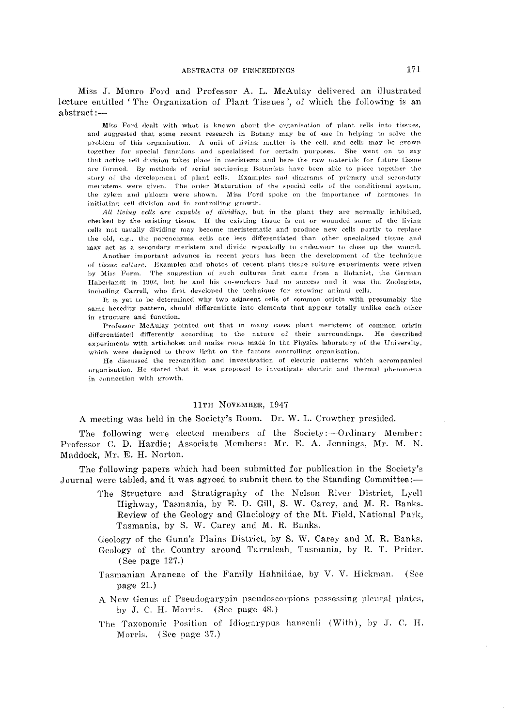Miss J. Munro Ford and Professor A. L. McAulay delivered an illustrated lecture entitled 'The Organization of Plant Tissues', of which the following is an  $abstract:$ 

Miss Ford dealt with what is known about the organisation of plant cells into tissues, and suggested that some recent research in Botany may be of use in helping to solve the problem of this organisation. A unit of living matter is the cell, and cells may be grown together for special functions and specialised for certain purposes. She went on to say that active cell division takes place in meristems and here the raw materials for future tissue are formed. By methods of serial sectioning Botanists have been able to piece together the story of the development of plant cells. Examples and diagrams of primary and secondary meristems were given. The order Maturation of the special cells of the conditional system, the zylem and phloem were shown. Miss Ford spoke on the importance of hormones in initiating cell division and in controlling growth.

All living cells are capable of dividing, but in the plant they are normally inhibited, checked by the existing tissue. If the existing tissue is cut or wounded some of the living cells not usually dividing may become meristematic and produce new cells partly to replace the old, e.g., the parenchyma cells are less differentiated than other specialised tissue and may act as a secondary meristem and divide repeatedly to endeavour to close up the wound.

Another important advance in recent years has been the development of the technique of tissue culture. Examples and photos of recent plant tissue culture experiments were given by Miss Form. The suggestion of such cultures first came from a Botanist, the German Haberlandt in 1902, but he and his co-workers had no success and it was the Zoologists, including Carrell, who first developed the technique for growing animal cells.

It is yet to be determined why two adjacent cells of common origin with presumably the same heredity pattern, should differentiate into elements that appear totally unlike each other in structure and function.

Professor McAulay pointed out that in many cases plant meristems of common origin differentiated differently according to the nature of their surroundings. He described experiments with artichokes and maize roots made in the Physics laboratory of the University, which were designed to throw light on the factors controlling organisation.

He discussed the recognition and investigation of electric patterns which accompanied organisation. He stated that it was proposed to investigate electric and thermal phenomena in connection with growth.

#### 11TH NOVEMBER, 1947

A meeting was held in the Society's Room. Dr. W. L. Crowther presided.

The following were elected members of the Society:—Ordinary Member: Professor C. D. Hardie; Associate Members: Mr. E. A. Jennings, Mr. M. N. Maddock, Mr. E. H. Norton.

The following papers which had been submitted for publication in the Society's Journal were tabled, and it was agreed to submit them to the Standing Committee:-

> The Structure and Stratigraphy of the Nelson River District, Lyell Highway, Tasmania, by E. D. Gill, S. W. Carey, and M. R. Banks. Review of the Geology and Glaciology of the Mt. Field, National Park, Tasmania, by S. W. Carey and M. R. Banks.

> Geology of the Gunn's Plains District, by S. W. Carey and M. R. Banks. Geology of the Country around Tarraleah, Tasmania, by R. T. Prider. (See page  $127.$ )

- Tasmanian Araneae of the Family Hahniidae, by V. V. Hickman. (See page  $21.$ )
- A New Genus of Pseudogarypin pseudoscorpions possessing pleural plates, by J. C. H. Morris. (See page 48.)
- The Taxonomic Position of Idiogarypus hansenii (With), by J. C. H. Morris. (See page 37.)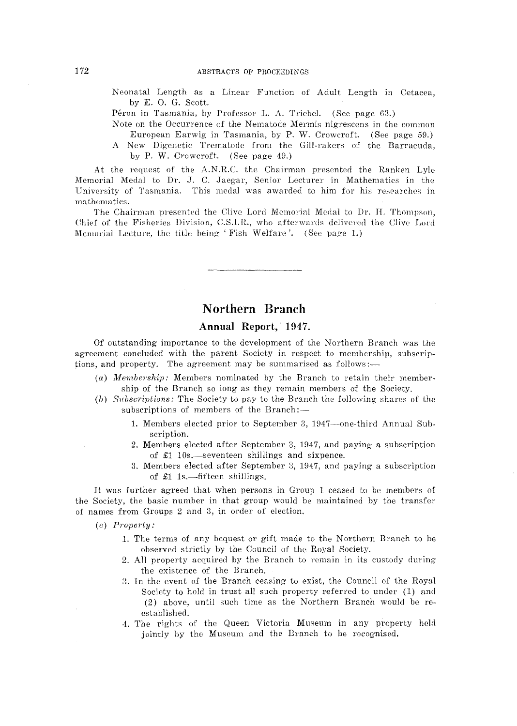- Neonatal Length as a Linear Function of Adult Length in Cetacea, by E. O. G. Scott.
- Péron in Tasmania, by Professor L. A. Triebel. (See page 63.)
- Note on the Occurrence of the Nematode Mermis nigrescens in the common European Earwig in Tasmania, by P. W. Crowcroft. (See page 59.)
- A New Digenetic Trematode from the Gill-rakers of the Barracuda. by P. W. Crowcroft. (See page 49.)

At the request of the A.N.R.C. the Chairman presented the Ranken Lyle Memorial Medal to Dr. J. C. Jaegar, Senior Lecturer in Mathematics in the University of Tasmania. This medal was awarded to him for his researches in mathematics.

The Chairman presented the Clive Lord Memorial Medal to Dr. H. Thompson, Chief of the Fisheries Division, C.S.I.R., who afterwards delivered the Clive Lord Memorial Lecture, the title being 'Fish Welfare'. (See page 1.)

# Northern Branch

## Annual Report, 1947.

Of outstanding importance to the development of the Northern Branch was the agreement concluded with the parent Society in respect to membership, subscriptions, and property. The agreement may be summarised as follows:-

- (a) Membership: Members nominated by the Branch to retain their membership of the Branch so long as they remain members of the Society.
- (b) Subscriptions: The Society to pay to the Branch the following shares of the subscriptions of members of the Branch:-
	- 1. Members elected prior to September 3, 1947—one-third Annual Subscription.
	- 2. Members elected after September 3, 1947, and paying a subscription of  $\pounds1$  10s.—seventeen shillings and sixpence.
	- 3. Members elected after September 3, 1947, and paying a subscription of  $\pounds1$  1s.—fifteen shillings.

It was further agreed that when persons in Group 1 ceased to be members of the Society, the basic number in that group would be maintained by the transfer of names from Groups 2 and 3, in order of election.

 $(c)$  Property:

- 1. The terms of any bequest or gift made to the Northern Branch to be observed strictly by the Council of the Royal Society.
- 2. All property acquired by the Branch to remain in its custody during the existence of the Branch.
- 3. In the event of the Branch ceasing to exist, the Council of the Royal Society to hold in trust all such property referred to under (1) and (2) above, until such time as the Northern Branch would be reestablished.
- 4. The rights of the Queen Victoria Museum in any property held jointly by the Museum and the Branch to be recognised.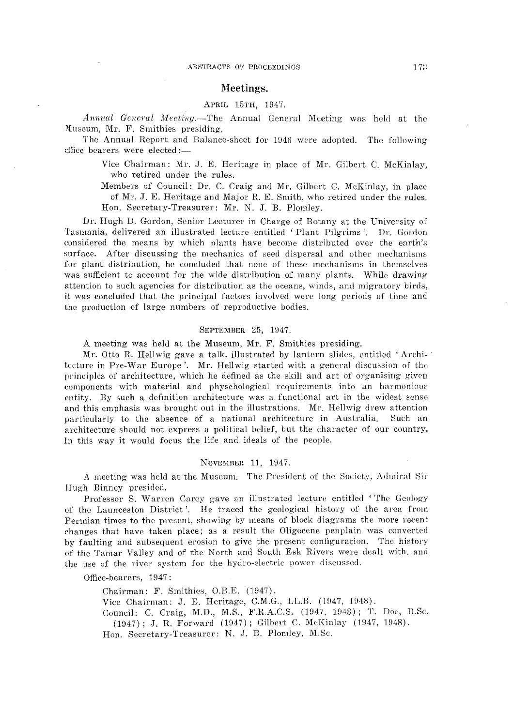### Meetings.

#### APRIL 15TH, 1947.

*Annual General Meeting.* The Annual General Meeting was held at the Museum, Mr. F. Smithies presiding.

The Annual Report and Balance-sheet for 1946 were adopted. The following office bearers were elected:-

> Vice Chairman: Mr. J. E. Heritage in place of Mr. Gilbert C. McKinlay, who retired under the rules.

> Members of Council: Dr. C. Craig and Mr. Gilbert C. McKinlay, in place of Mr. J. E. Heritage and Major R. E. Smith, who retired under the rules. Hon. Secretary-Treasurer: Mr. N. J. B. Plomley.

Dr. Hugh D. Gordon, Senior Lecturer in Charge of Botany at the University of Tasmania, delivered an illustrated lecture entitled ' Plant Pilgrims '. Dr. Gordon considered the means by which plants have become distributed over the earth's surface. After discussing the mechanics of seed dispersal and other mechanisms for plant distribution, he concluded that none of these mechanisms in themselves was sufficient to account for the wide distribution of many plants. While drawing attention to such agencies for distribution as the oeeans, winds, and migratory birds, it was concluded that the principal factors involved were long periods of time and the production of large numbers of reproductive bodies.

#### SEPTEMBER 25, 1947.

A meeting was held at the Museum, Mr. F. Smithies presiding.

Mr. Otto R. Hellwig gave a talk, illustrated by lantern slides, entitled 'Archi- · tceture in Pre-War Europe'. Mr. Hellwig started with a general discussion of the principles of architecture, which he defined as the skill and art of organising given components with material and physchological requirements into an harmonious entity. By such a definition architecture was a functional art in the widest sense and this emphasis was brought out in the illustrations. Mr. Hellwig drew attention particularly to the absence of a national architecture in Australia. Such an architecture should not express a politieal belief, but the character of our country. In this way it would focus the life and ideals of the people.

#### NOVEMBER 11, 1947.

*A* meeting was held at the Museum. The President of the Soeicty, Admirnl Sir Hugh Binney presided.

Professor S. Warren Carey gave an illustrated lecture entitled 'The Geology of the Launceston District'. He traced the geological history of the area from Permian times to the present, showing by means of block diagrams the more recent changes that have taken place; as a result the Oligocene penplain was converted by faulting and subsequent erosion to give the present configuration. The history of the Tamar Valley and of the North and South Esk Rivers were dealt with. and the use of the river system for the hydro-electric power discussed.

Office-bearers, 1947:

Chairman: F. Smithies, O.B.E. (1947). Vice Chairman: J. E. Heritage, C.M.G., LL.B. (1947, 1948). Council: C. Craig, M.D., M.S., F.R.A.C.S. (1947, 1948); T. Doe, ELSe. (1947); J. R. Forward (1947); Gilbert C. McKinlay (1947, 1948). Hon. Secretary-Treasurer: N. J. B. Plomley, M.Sc.